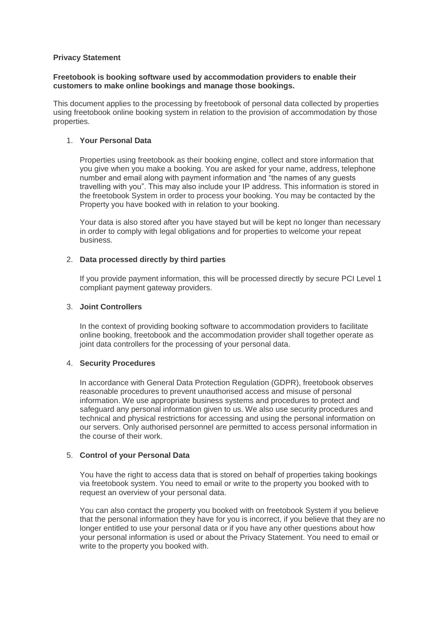# **Privacy Statement**

## **Freetobook is booking software used by accommodation providers to enable their customers to make online bookings and manage those bookings.**

This document applies to the processing by freetobook of personal data collected by properties using freetobook online booking system in relation to the provision of accommodation by those properties.

# 1. **Your Personal Data**

Properties using freetobook as their booking engine, collect and store information that you give when you make a booking. You are asked for your name, address, telephone number and email along with payment information and "the names of any guests travelling with you". This may also include your IP address. This information is stored in the freetobook System in order to process your booking. You may be contacted by the Property you have booked with in relation to your booking.

Your data is also stored after you have stayed but will be kept no longer than necessary in order to comply with legal obligations and for properties to welcome your repeat business.

## 2. **Data processed directly by third parties**

If you provide payment information, this will be processed directly by secure PCI Level 1 compliant payment gateway providers.

## 3. **Joint Controllers**

In the context of providing booking software to accommodation providers to facilitate online booking, freetobook and the accommodation provider shall together operate as joint data controllers for the processing of your personal data.

# 4. **Security Procedures**

In accordance with General Data Protection Regulation (GDPR), freetobook observes reasonable procedures to prevent unauthorised access and misuse of personal information. We use appropriate business systems and procedures to protect and safeguard any personal information given to us. We also use security procedures and technical and physical restrictions for accessing and using the personal information on our servers. Only authorised personnel are permitted to access personal information in the course of their work.

# 5. **Control of your Personal Data**

You have the right to access data that is stored on behalf of properties taking bookings via freetobook system. You need to email or write to the property you booked with to request an overview of your personal data.

You can also contact the property you booked with on freetobook System if you believe that the personal information they have for you is incorrect, if you believe that they are no longer entitled to use your personal data or if you have any other questions about how your personal information is used or about the Privacy Statement. You need to email or write to the property you booked with.